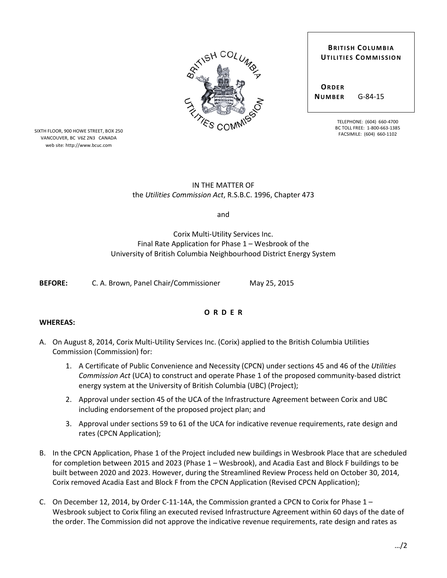| <b>RTISH COLUMBLE</b>  |   |
|------------------------|---|
|                        |   |
| <b>SIZINES COMMISS</b> | ξ |
|                        |   |

**ORDER NUMBER** G-84-15

> TELEPHONE: (604) 660-4700 BC TOLL FREE: 1-800-663-1385 FACSIMILE: (604) 660-1102

SIXTH FLOOR, 900 HOWE STREET, BOX 250 VANCOUVER, BC V6Z 2N3 CANADA web site: http://www.bcuc.com

# IN THE MATTER OF the *Utilities Commission Act*, R.S.B.C. 1996, Chapter 473

and

Corix Multi-Utility Services Inc. Final Rate Application for Phase 1 – Wesbrook of the University of British Columbia Neighbourhood District Energy System

**BEFORE:** C. A. Brown, Panel Chair/Commissioner May 25, 2015

## **O R D E R**

#### **WHEREAS:**

- A. On August 8, 2014, Corix Multi-Utility Services Inc. (Corix) applied to the British Columbia Utilities Commission (Commission) for:
	- 1. A Certificate of Public Convenience and Necessity (CPCN) under sections 45 and 46 of the *Utilities Commission Act* (UCA) to construct and operate Phase 1 of the proposed community-based district energy system at the University of British Columbia (UBC) (Project);
	- 2. Approval under section 45 of the UCA of the Infrastructure Agreement between Corix and UBC including endorsement of the proposed project plan; and
	- 3. Approval under sections 59 to 61 of the UCA for indicative revenue requirements, rate design and rates (CPCN Application);
- B. In the CPCN Application, Phase 1 of the Project included new buildings in Wesbrook Place that are scheduled for completion between 2015 and 2023 (Phase 1 – Wesbrook), and Acadia East and Block F buildings to be built between 2020 and 2023. However, during the Streamlined Review Process held on October 30, 2014, Corix removed Acadia East and Block F from the CPCN Application (Revised CPCN Application);
- C. On December 12, 2014, by Order C-11-14A, the Commission granted a CPCN to Corix for Phase 1 Wesbrook subject to Corix filing an executed revised Infrastructure Agreement within 60 days of the date of the order. The Commission did not approve the indicative revenue requirements, rate design and rates as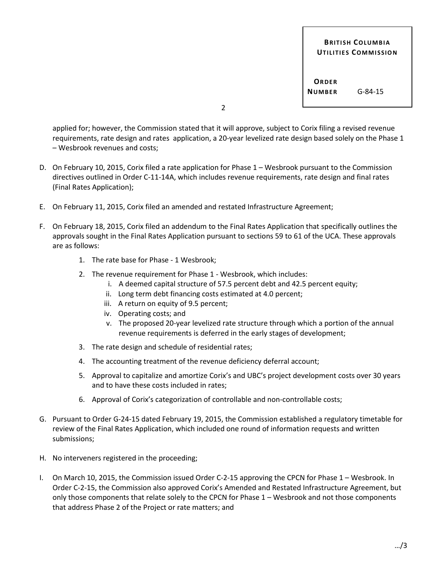**ORDER NUMBER** G-84-15

2

applied for; however, the Commission stated that it will approve, subject to Corix filing a revised revenue requirements, rate design and rates application, a 20-year levelized rate design based solely on the Phase 1 – Wesbrook revenues and costs;

- D. On February 10, 2015, Corix filed a rate application for Phase 1 Wesbrook pursuant to the Commission directives outlined in Order C-11-14A, which includes revenue requirements, rate design and final rates (Final Rates Application);
- E. On February 11, 2015, Corix filed an amended and restated Infrastructure Agreement;
- F. On February 18, 2015, Corix filed an addendum to the Final Rates Application that specifically outlines the approvals sought in the Final Rates Application pursuant to sections 59 to 61 of the UCA. These approvals are as follows:
	- 1. The rate base for Phase 1 Wesbrook;
	- 2. The revenue requirement for Phase 1 Wesbrook, which includes:
		- i. A deemed capital structure of 57.5 percent debt and 42.5 percent equity;
		- ii. Long term debt financing costs estimated at 4.0 percent;
		- iii. A return on equity of 9.5 percent;
		- iv. Operating costs; and
		- v. The proposed 20-year levelized rate structure through which a portion of the annual revenue requirements is deferred in the early stages of development;
	- 3. The rate design and schedule of residential rates;
	- 4. The accounting treatment of the revenue deficiency deferral account;
	- 5. Approval to capitalize and amortize Corix's and UBC's project development costs over 30 years and to have these costs included in rates;
	- 6. Approval of Corix's categorization of controllable and non-controllable costs;
- G. Pursuant to Order G-24-15 dated February 19, 2015, the Commission established a regulatory timetable for review of the Final Rates Application, which included one round of information requests and written submissions;
- H. No interveners registered in the proceeding;
- I. On March 10, 2015, the Commission issued Order C-2-15 approving the CPCN for Phase 1 Wesbrook. In Order C-2-15, the Commission also approved Corix's Amended and Restated Infrastructure Agreement, but only those components that relate solely to the CPCN for Phase 1 – Wesbrook and not those components that address Phase 2 of the Project or rate matters; and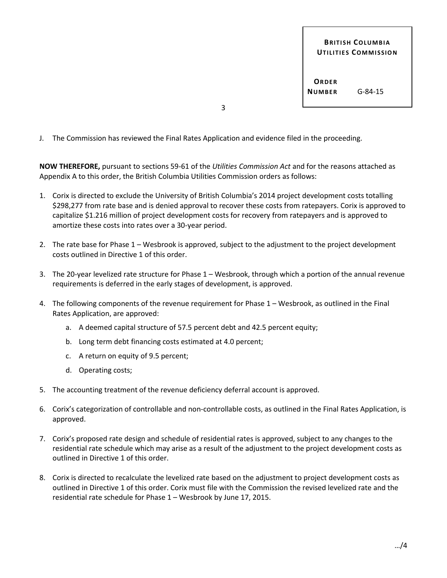**ORDER NUMBER** G-84-15

3

J. The Commission has reviewed the Final Rates Application and evidence filed in the proceeding.

**NOW THEREFORE,** pursuant to sections 59-61 of the *Utilities Commission Act* and for the reasons attached as Appendix A to this order, the British Columbia Utilities Commission orders as follows:

- 1. Corix is directed to exclude the University of British Columbia's 2014 project development costs totalling \$298,277 from rate base and is denied approval to recover these costs from ratepayers. Corix is approved to capitalize \$1.216 million of project development costs for recovery from ratepayers and is approved to amortize these costs into rates over a 30-year period.
- 2. The rate base for Phase 1 Wesbrook is approved, subject to the adjustment to the project development costs outlined in Directive 1 of this order.
- 3. The 20-year levelized rate structure for Phase 1 Wesbrook, through which a portion of the annual revenue requirements is deferred in the early stages of development, is approved.
- 4. The following components of the revenue requirement for Phase 1 Wesbrook, as outlined in the Final Rates Application, are approved:
	- a. A deemed capital structure of 57.5 percent debt and 42.5 percent equity;
	- b. Long term debt financing costs estimated at 4.0 percent;
	- c. A return on equity of 9.5 percent;
	- d. Operating costs;
- 5. The accounting treatment of the revenue deficiency deferral account is approved.
- 6. Corix's categorization of controllable and non-controllable costs, as outlined in the Final Rates Application, is approved.
- 7. Corix's proposed rate design and schedule of residential rates is approved, subject to any changes to the residential rate schedule which may arise as a result of the adjustment to the project development costs as outlined in Directive 1 of this order.
- 8. Corix is directed to recalculate the levelized rate based on the adjustment to project development costs as outlined in Directive 1 of this order. Corix must file with the Commission the revised levelized rate and the residential rate schedule for Phase 1 – Wesbrook by June 17, 2015.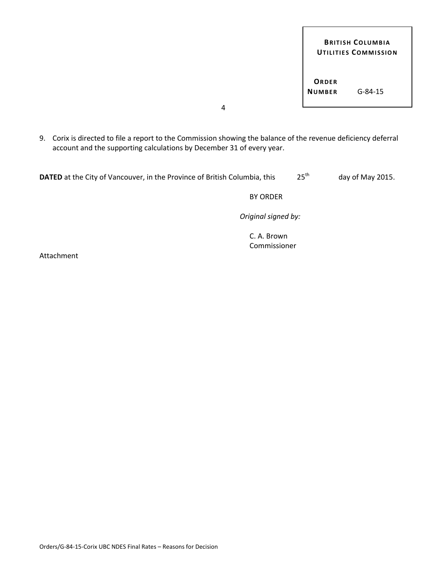**ORDER NUMBER** G-84-15

4

9. Corix is directed to file a report to the Commission showing the balance of the revenue deficiency deferral account and the supporting calculations by December 31 of every year.

| <b>DATED</b> at the City of Vancouver, in the Province of British Columbia, this | 25 <sup>th</sup> | day of May 2015. |
|----------------------------------------------------------------------------------|------------------|------------------|
|----------------------------------------------------------------------------------|------------------|------------------|

BY ORDER

*Original signed by:*

C. A. Brown Commissioner

Attachment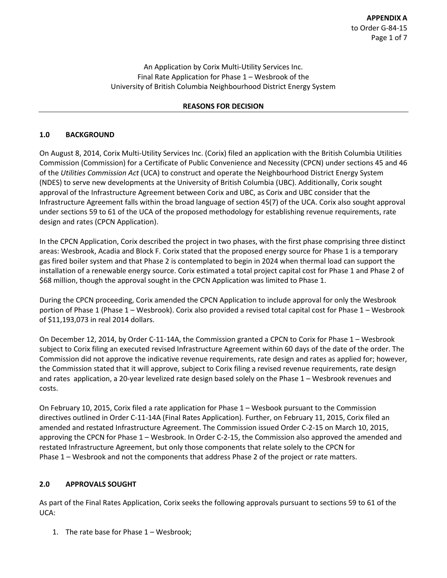An Application by Corix Multi-Utility Services Inc. Final Rate Application for Phase 1 – Wesbrook of the University of British Columbia Neighbourhood District Energy System

#### **REASONS FOR DECISION**

#### **1.0 BACKGROUND**

On August 8, 2014, Corix Multi-Utility Services Inc. (Corix) filed an application with the British Columbia Utilities Commission (Commission) for a Certificate of Public Convenience and Necessity (CPCN) under sections 45 and 46 of the *Utilities Commission Act* (UCA) to construct and operate the Neighbourhood District Energy System (NDES) to serve new developments at the University of British Columbia (UBC). Additionally, Corix sought approval of the Infrastructure Agreement between Corix and UBC, as Corix and UBC consider that the Infrastructure Agreement falls within the broad language of section 45(7) of the UCA. Corix also sought approval under sections 59 to 61 of the UCA of the proposed methodology for establishing revenue requirements, rate design and rates (CPCN Application).

In the CPCN Application, Corix described the project in two phases, with the first phase comprising three distinct areas: Wesbrook, Acadia and Block F. Corix stated that the proposed energy source for Phase 1 is a temporary gas fired boiler system and that Phase 2 is contemplated to begin in 2024 when thermal load can support the installation of a renewable energy source. Corix estimated a total project capital cost for Phase 1 and Phase 2 of \$68 million, though the approval sought in the CPCN Application was limited to Phase 1.

During the CPCN proceeding, Corix amended the CPCN Application to include approval for only the Wesbrook portion of Phase 1 (Phase 1 – Wesbrook). Corix also provided a revised total capital cost for Phase 1 – Wesbrook of \$11,193,073 in real 2014 dollars.

On December 12, 2014, by Order C-11-14A, the Commission granted a CPCN to Corix for Phase 1 – Wesbrook subject to Corix filing an executed revised Infrastructure Agreement within 60 days of the date of the order. The Commission did not approve the indicative revenue requirements, rate design and rates as applied for; however, the Commission stated that it will approve, subject to Corix filing a revised revenue requirements, rate design and rates application, a 20-year levelized rate design based solely on the Phase 1 – Wesbrook revenues and costs.

On February 10, 2015, Corix filed a rate application for Phase 1 – Wesbook pursuant to the Commission directives outlined in Order C-11-14A (Final Rates Application). Further, on February 11, 2015, Corix filed an amended and restated Infrastructure Agreement. The Commission issued Order C-2-15 on March 10, 2015, approving the CPCN for Phase 1 – Wesbrook. In Order C-2-15, the Commission also approved the amended and restated Infrastructure Agreement, but only those components that relate solely to the CPCN for Phase 1 – Wesbrook and not the components that address Phase 2 of the project or rate matters.

## **2.0 APPROVALS SOUGHT**

As part of the Final Rates Application, Corix seeks the following approvals pursuant to sections 59 to 61 of the UCA:

1. The rate base for Phase 1 – Wesbrook;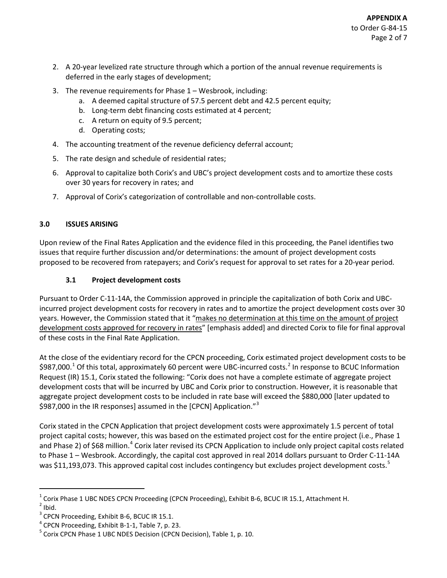- 2. A 20-year levelized rate structure through which a portion of the annual revenue requirements is deferred in the early stages of development;
- 3. The revenue requirements for Phase 1 Wesbrook, including:
	- a. A deemed capital structure of 57.5 percent debt and 42.5 percent equity;
	- b. Long-term debt financing costs estimated at 4 percent;
	- c. A return on equity of 9.5 percent;
	- d. Operating costs;
- 4. The accounting treatment of the revenue deficiency deferral account;
- 5. The rate design and schedule of residential rates;
- 6. Approval to capitalize both Corix's and UBC's project development costs and to amortize these costs over 30 years for recovery in rates; and
- 7. Approval of Corix's categorization of controllable and non-controllable costs.

## **3.0 ISSUES ARISING**

Upon review of the Final Rates Application and the evidence filed in this proceeding, the Panel identifies two issues that require further discussion and/or determinations: the amount of project development costs proposed to be recovered from ratepayers; and Corix's request for approval to set rates for a 20-year period.

## **3.1 Project development costs**

Pursuant to Order C-11-14A, the Commission approved in principle the capitalization of both Corix and UBCincurred project development costs for recovery in rates and to amortize the project development costs over 30 years. However, the Commission stated that it "makes no determination at this time on the amount of project development costs approved for recovery in rates" [emphasis added] and directed Corix to file for final approval of these costs in the Final Rate Application.

At the close of the evidentiary record for the CPCN proceeding, Corix estimated project development costs to be \$987,000.<sup>[1](#page-5-0)</sup> Of this total, approximately 60 percent were UBC-incurred costs.<sup>[2](#page-5-1)</sup> In response to BCUC Information Request (IR) 15.1, Corix stated the following: "Corix does not have a complete estimate of aggregate project development costs that will be incurred by UBC and Corix prior to construction. However, it is reasonable that aggregate project development costs to be included in rate base will exceed the \$880,000 [later updated to \$987,000 in the IR responses] assumed in the [CPCN] Application."<sup>[3](#page-5-2)</sup>

Corix stated in the CPCN Application that project development costs were approximately 1.5 percent of total project capital costs; however, this was based on the estimated project cost for the entire project (i.e., Phase 1 and Phase 2) of \$68 million.<sup>[4](#page-5-3)</sup> Corix later revised its CPCN Application to include only project capital costs related to Phase 1 – Wesbrook. Accordingly, the capital cost approved in real 2014 dollars pursuant to Order C-11-14A was \$11,193,073. This approved capital cost includes contingency but excludes project development costs.<sup>[5](#page-5-4)</sup>

<span id="page-5-1"></span><span id="page-5-0"></span><sup>&</sup>lt;sup>1</sup> Corix Phase 1 UBC NDES CPCN Proceeding (CPCN Proceeding), Exhibit B-6, BCUC IR 15.1, Attachment H.<br><sup>2</sup> Ibid.<br><sup>3</sup> CPCN Proceeding, Exhibit B-6, BCUC IR 15.1.

<span id="page-5-2"></span>

<span id="page-5-4"></span><span id="page-5-3"></span><sup>&</sup>lt;sup>4</sup> CPCN Proceeding, Exhibit B-1-1, Table 7, p. 23.  $5$  Corix CPCN Phase 1 UBC NDES Decision (CPCN Decision), Table 1, p. 10.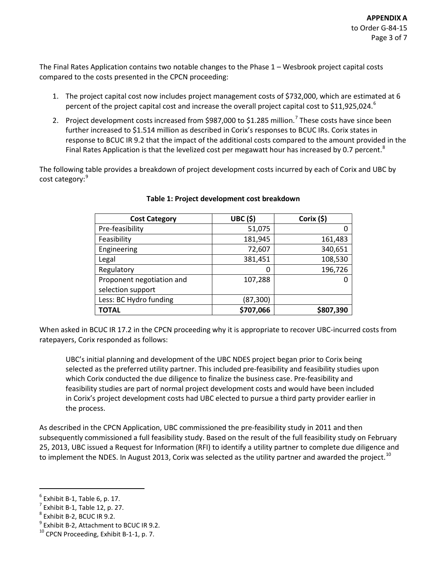The Final Rates Application contains two notable changes to the Phase 1 – Wesbrook project capital costs compared to the costs presented in the CPCN proceeding:

- 1. The project capital cost now includes project management costs of \$732,000, which are estimated at 6 percent of the project capital cost and increase the overall project capital cost to \$11,925,024. $^{\circ}$
- 2. Project development costs increased from \$98[7](#page-6-1),000 to \$1.285 million.<sup>7</sup> These costs have since been further increased to \$1.514 million as described in Corix's responses to BCUC IRs. Corix states in response to BCUC IR 9.2 that the impact of the additional costs compared to the amount provided in the Final Rates Application is that the levelized cost per megawatt hour has increased by 0.7 percent.<sup>[8](#page-6-2)</sup>

The following table provides a breakdown of project development costs incurred by each of Corix and UBC by cost category: [9](#page-6-3)

| <b>Cost Category</b>                           | <b>UBC (\$)</b> | Corix (\$) |
|------------------------------------------------|-----------------|------------|
| Pre-feasibility                                | 51,075          |            |
| Feasibility                                    | 181,945         | 161,483    |
| Engineering                                    | 72,607          | 340,651    |
| Legal                                          | 381,451         | 108,530    |
| Regulatory                                     | 0               | 196,726    |
| Proponent negotiation and<br>selection support | 107,288         | 0          |
| Less: BC Hydro funding                         | (87,300)        |            |
| <b>TOTAL</b>                                   | \$707,066       | \$807,390  |

#### **Table 1: Project development cost breakdown**

When asked in BCUC IR 17.2 in the CPCN proceeding why it is appropriate to recover UBC-incurred costs from ratepayers, Corix responded as follows:

UBC's initial planning and development of the UBC NDES project began prior to Corix being selected as the preferred utility partner. This included pre-feasibility and feasibility studies upon which Corix conducted the due diligence to finalize the business case. Pre-feasibility and feasibility studies are part of normal project development costs and would have been included in Corix's project development costs had UBC elected to pursue a third party provider earlier in the process.

As described in the CPCN Application, UBC commissioned the pre-feasibility study in 2011 and then subsequently commissioned a full feasibility study. Based on the result of the full feasibility study on February 25, 2013, UBC issued a Request for Information (RFI) to identify a utility partner to complete due diligence and to implement the NDES. In August 2013, Corix was selected as the utility partner and awarded the project.<sup>[10](#page-6-4)</sup>

<span id="page-6-1"></span>

<span id="page-6-3"></span><span id="page-6-2"></span>

<span id="page-6-0"></span><sup>&</sup>lt;sup>6</sup> Exhibit B-1, Table 6, p. 17.<br>
<sup>7</sup> Exhibit B-1, Table 12, p. 27.<br>
<sup>8</sup> Exhibit B-2, BCUC IR 9.2.<br>
<sup>9</sup> Exhibit B-2, Attachment to BCUC IR 9.2.<br>
<sup>10</sup> CPCN Proceeding, Exhibit B-1-1, p. 7.

<span id="page-6-4"></span>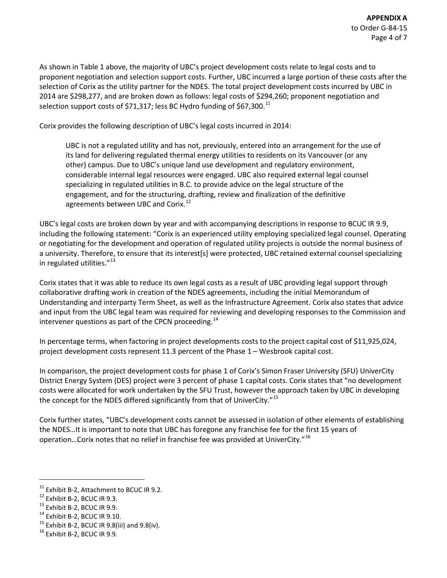As shown in Table 1 above, the majority of UBC's project development costs relate to legal costs and to proponent negotiation and selection support costs. Further, UBC incurred a large portion of these costs after the selection of Corix as the utility partner for the NDES. The total project development costs incurred by UBC in 2014 are \$298,277, and are broken down as follows: legal costs of \$294,260; proponent negotiation and selection support costs of \$71,317; less BC Hydro funding of \$67,300.<sup>[11](#page-7-0)</sup>

Corix provides the following description of UBC's legal costs incurred in 2014:

UBC is not a regulated utility and has not, previously, entered into an arrangement for the use of its land for delivering regulated thermal energy utilities to residents on its Vancouver (or any other) campus. Due to UBC's unique land use development and regulatory environment, considerable internal legal resources were engaged. UBC also required external legal counsel specializing in regulated utilities in B.C. to provide advice on the legal structure of the engagement, and for the structuring, drafting, review and finalization of the definitive agreements between UBC and Corix.<sup>[12](#page-7-1)</sup>

UBC's legal costs are broken down by year and with accompanying descriptions in response to BCUC IR 9.9, including the following statement: "Corix is an experienced utility employing specialized legal counsel. Operating or negotiating for the development and operation of regulated utility projects is outside the normal business of a university. Therefore, to ensure that its interest[s] were protected, UBC retained external counsel specializing in regulated utilities."<sup>[13](#page-7-2)</sup>

Corix states that it was able to reduce its own legal costs as a result of UBC providing legal support through collaborative drafting work in creation of the NDES agreements, including the initial Memorandum of Understanding and interparty Term Sheet, as well as the Infrastructure Agreement. Corix also states that advice and input from the UBC legal team was required for reviewing and developing responses to the Commission and intervener questions as part of the CPCN proceeding.<sup>[14](#page-7-3)</sup>

In percentage terms, when factoring in project developments costs to the project capital cost of \$11,925,024, project development costs represent 11.3 percent of the Phase 1 – Wesbrook capital cost.

In comparison, the project development costs for phase 1 of Corix's Simon Fraser University (SFU) UniverCity District Energy System (DES) project were 3 percent of phase 1 capital costs. Corix states that "no development costs were allocated for work undertaken by the SFU Trust, however the approach taken by UBC in developing the concept for the NDES differed significantly from that of UniverCity."<sup>[15](#page-7-4)</sup>

Corix further states, "UBC's development costs cannot be assessed in isolation of other elements of establishing the NDES…It is important to note that UBC has foregone any franchise fee for the first 15 years of operation…Corix notes that no relief in franchise fee was provided at UniverCity."[16](#page-7-5)

<span id="page-7-1"></span><span id="page-7-0"></span><sup>&</sup>lt;sup>11</sup> Exhibit B-2, Attachment to BCUC IR 9.2.<br><sup>12</sup> Exhibit B-2, BCUC IR 9.3.<br><sup>13</sup> Exhibit B-2, BCUC IR 9.10.<br><sup>15</sup> Exhibit B-2, BCUC IR 9.8(iii) and 9.8(iv).<br><sup>15</sup> Exhibit B-2, BCUC IR 9.9.

<span id="page-7-2"></span>

<span id="page-7-3"></span>

<span id="page-7-4"></span>

<span id="page-7-5"></span>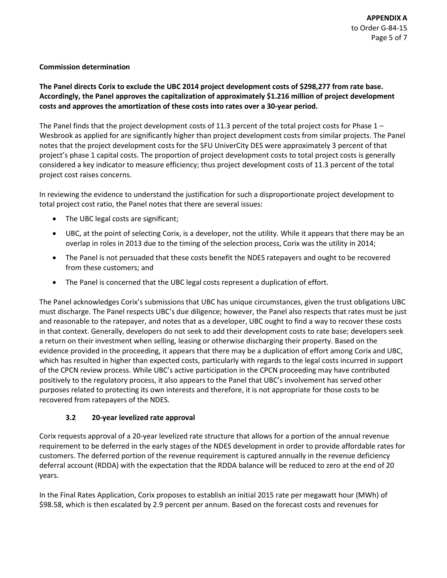### **Commission determination**

## **The Panel directs Corix to exclude the UBC 2014 project development costs of \$298,277 from rate base. Accordingly, the Panel approves the capitalization of approximately \$1.216 million of project development costs and approves the amortization of these costs into rates over a 30-year period.**

The Panel finds that the project development costs of 11.3 percent of the total project costs for Phase  $1 -$ Wesbrook as applied for are significantly higher than project development costs from similar projects. The Panel notes that the project development costs for the SFU UniverCity DES were approximately 3 percent of that project's phase 1 capital costs. The proportion of project development costs to total project costs is generally considered a key indicator to measure efficiency; thus project development costs of 11.3 percent of the total project cost raises concerns.

In reviewing the evidence to understand the justification for such a disproportionate project development to total project cost ratio, the Panel notes that there are several issues:

- The UBC legal costs are significant;
- UBC, at the point of selecting Corix, is a developer, not the utility. While it appears that there may be an overlap in roles in 2013 due to the timing of the selection process, Corix was the utility in 2014;
- The Panel is not persuaded that these costs benefit the NDES ratepayers and ought to be recovered from these customers; and
- The Panel is concerned that the UBC legal costs represent a duplication of effort.

The Panel acknowledges Corix's submissions that UBC has unique circumstances, given the trust obligations UBC must discharge. The Panel respects UBC's due diligence; however, the Panel also respects that rates must be just and reasonable to the ratepayer, and notes that as a developer, UBC ought to find a way to recover these costs in that context. Generally, developers do not seek to add their development costs to rate base; developers seek a return on their investment when selling, leasing or otherwise discharging their property. Based on the evidence provided in the proceeding, it appears that there may be a duplication of effort among Corix and UBC, which has resulted in higher than expected costs, particularly with regards to the legal costs incurred in support of the CPCN review process. While UBC's active participation in the CPCN proceeding may have contributed positively to the regulatory process, it also appears to the Panel that UBC's involvement has served other purposes related to protecting its own interests and therefore, it is not appropriate for those costs to be recovered from ratepayers of the NDES.

## **3.2 20-year levelized rate approval**

Corix requests approval of a 20-year levelized rate structure that allows for a portion of the annual revenue requirement to be deferred in the early stages of the NDES development in order to provide affordable rates for customers. The deferred portion of the revenue requirement is captured annually in the revenue deficiency deferral account (RDDA) with the expectation that the RDDA balance will be reduced to zero at the end of 20 years.

In the Final Rates Application, Corix proposes to establish an initial 2015 rate per megawatt hour (MWh) of \$98.58, which is then escalated by 2.9 percent per annum. Based on the forecast costs and revenues for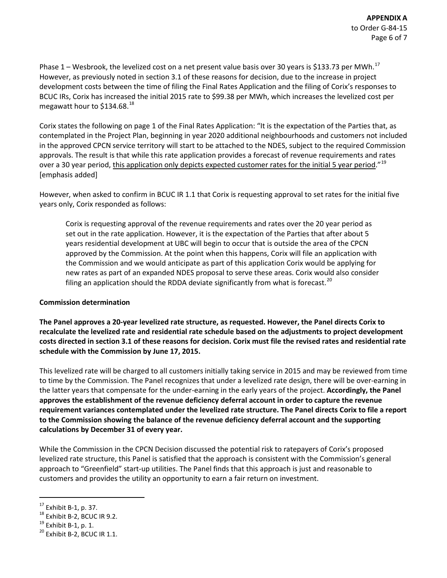Phase  $1$  – Wesbrook, the levelized cost on a net present value basis over 30 years is \$133.73 per MWh.<sup>[17](#page-9-0)</sup> However, as previously noted in section 3.1 of these reasons for decision, due to the increase in project development costs between the time of filing the Final Rates Application and the filing of Corix's responses to BCUC IRs, Corix has increased the initial 2015 rate to \$99.38 per MWh, which increases the levelized cost per megawatt hour to  $$134.68$ <sup>[18](#page-9-1)</sup>

Corix states the following on page 1 of the Final Rates Application: "It is the expectation of the Parties that, as contemplated in the Project Plan, beginning in year 2020 additional neighbourhoods and customers not included in the approved CPCN service territory will start to be attached to the NDES, subject to the required Commission approvals. The result is that while this rate application provides a forecast of revenue requirements and rates over a 30 year period, this application only depicts expected customer rates for the initial 5 year period."<sup>[19](#page-9-2)</sup> [emphasis added]

However, when asked to confirm in BCUC IR 1.1 that Corix is requesting approval to set rates for the initial five years only, Corix responded as follows:

Corix is requesting approval of the revenue requirements and rates over the 20 year period as set out in the rate application. However, it is the expectation of the Parties that after about 5 years residential development at UBC will begin to occur that is outside the area of the CPCN approved by the Commission. At the point when this happens, Corix will file an application with the Commission and we would anticipate as part of this application Corix would be applying for new rates as part of an expanded NDES proposal to serve these areas. Corix would also consider filing an application should the RDDA deviate significantly from what is forecast.<sup>[20](#page-9-3)</sup>

#### **Commission determination**

**The Panel approves a 20-year levelized rate structure, as requested. However, the Panel directs Corix to recalculate the levelized rate and residential rate schedule based on the adjustments to project development costs directed in section 3.1 of these reasons for decision. Corix must file the revised rates and residential rate schedule with the Commission by June 17, 2015.**

This levelized rate will be charged to all customers initially taking service in 2015 and may be reviewed from time to time by the Commission. The Panel recognizes that under a levelized rate design, there will be over-earning in the latter years that compensate for the under-earning in the early years of the project. **Accordingly, the Panel approves the establishment of the revenue deficiency deferral account in order to capture the revenue requirement variances contemplated under the levelized rate structure. The Panel directs Corix to file a report to the Commission showing the balance of the revenue deficiency deferral account and the supporting calculations by December 31 of every year.** 

While the Commission in the CPCN Decision discussed the potential risk to ratepayers of Corix's proposed levelized rate structure, this Panel is satisfied that the approach is consistent with the Commission's general approach to "Greenfield" start-up utilities. The Panel finds that this approach is just and reasonable to customers and provides the utility an opportunity to earn a fair return on investment.

<span id="page-9-1"></span><span id="page-9-0"></span><sup>&</sup>lt;sup>17</sup> Exhibit B-1, p. 37.<br><sup>18</sup> Exhibit B-2, BCUC IR 9.2.<br><sup>19</sup> Exhibit B-1, p. 1.<br><sup>20</sup> Exhibit B-2, BCUC IR 1.1.

<span id="page-9-2"></span>

<span id="page-9-3"></span>